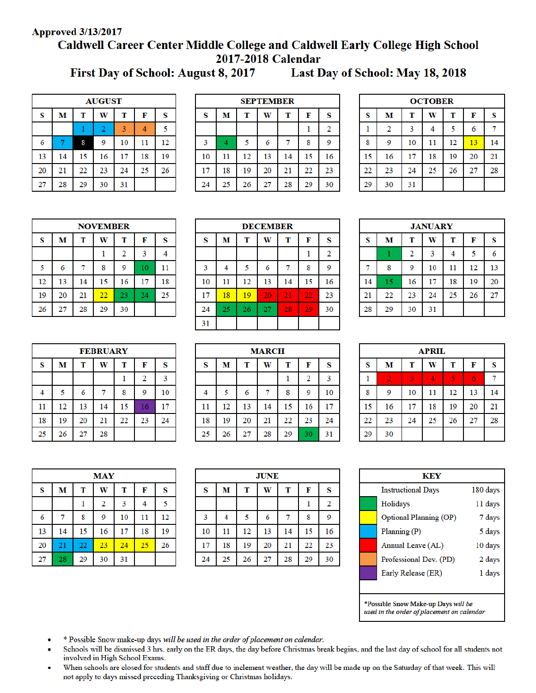## **Approved 3/13/2017**

# Caldwell Career Center Middle College and Caldwell Early College High School 2017-2018 Calendar

First Day of School: August 8, 2017

Last Day of School: May 18, 2018

| <b>AUGUST</b> |                            |    |                |    |    |    |  |
|---------------|----------------------------|----|----------------|----|----|----|--|
| S             | F<br>S<br>T<br>м<br>W<br>т |    |                |    |    |    |  |
|               |                            |    | $\overline{2}$ | 3  | 4  | 5  |  |
| 6             |                            | 8  | 9              | 10 | 11 | 12 |  |
| 13            | 14                         | 15 | 16             | 17 | 18 | 19 |  |
| 20            | 21                         | 22 | 23             | 24 | 25 | 26 |  |
| 27            | 28                         | 29 | 30             | 31 |    |    |  |

| <b>SEPTEMBER</b> |                            |    |    |    |    |                |  |
|------------------|----------------------------|----|----|----|----|----------------|--|
| S                | М<br>W<br>F<br>S<br>т<br>т |    |    |    |    |                |  |
|                  |                            |    |    |    |    | $\overline{2}$ |  |
| 3                | 4                          | 5  | 6  |    | 8  | 9              |  |
| 10               | 11                         | 12 | 13 | 14 | 15 | 16             |  |
| 17               | 18                         | 19 | 20 | 21 | 22 | 23             |  |
| 24               | 25                         | 26 | 27 | 28 | 29 | 30             |  |

| <b>OCTOBER</b> |                            |    |    |    |    |    |  |  |
|----------------|----------------------------|----|----|----|----|----|--|--|
| S              | T<br>T<br>S<br>М<br>F<br>W |    |    |    |    |    |  |  |
|                | 2                          | 3  | 4  | 5  | 6  | 7  |  |  |
| 8              | 9                          | 10 | 11 | 12 | 13 | 14 |  |  |
| 15             | 16                         | 17 | 18 | 19 | 20 | 21 |  |  |
| 22             | 23                         | 24 | 25 | 26 | 27 | 28 |  |  |
| 29             | 30                         | 31 |    |    |    |    |  |  |

| <b>NOVEMBER</b> |    |    |    |                |    |    |  |
|-----------------|----|----|----|----------------|----|----|--|
| S               | M  | T  | W  | т              | F  | S  |  |
|                 |    |    |    | $\overline{2}$ | 3  |    |  |
| 5               | 6  |    | 8  | 9              | 10 | 11 |  |
| 12              | 13 | 14 | 15 | 16             | 17 | 18 |  |
| 19              | 20 | 21 | 22 | 23             | 24 | 25 |  |
| 26              | 27 | 28 | 29 | 30             |    |    |  |

| <b>DECEMBER</b> |                            |    |    |    |    |    |
|-----------------|----------------------------|----|----|----|----|----|
| S               | M<br>T<br>W<br>т<br>F<br>S |    |    |    |    |    |
|                 |                            |    |    |    |    | 2  |
| 3               | 4                          | 5  | 6  |    | 8  | 9  |
| 10              | 11                         | 12 | 13 | 14 | 15 | 16 |
| 17              | 18                         | 19 | 20 | 21 | 22 | 23 |
| 24              | 25                         | 26 | 27 | 28 | 29 | 30 |
| 31              |                            |    |    |    |    |    |

| <b>JANUARY</b> |    |    |    |    |    |    |  |  |
|----------------|----|----|----|----|----|----|--|--|
| S              | М  | T  | W  | T  | F  | S  |  |  |
|                |    | 2  | 3  | 4  | 5  | 6  |  |  |
| 7              | 8  | 9  | 10 | 11 | 12 | 13 |  |  |
| 14             | 15 | 16 | 17 | 18 | 19 | 20 |  |  |
| 21             | 22 | 23 | 24 | 25 | 26 | 27 |  |  |
| 28             | 29 | 30 | 31 |    |    |    |  |  |

| <b>FEBRUARY</b> |    |    |    |    |    |    |  |
|-----------------|----|----|----|----|----|----|--|
| S               | M  | T  | W  | T  | F  | S  |  |
|                 |    |    |    |    | 2  | 3  |  |
| 4               | 5  | 6  |    | 8  | 9  | 10 |  |
| 11              | 12 | 13 | 14 | 15 | 16 | 17 |  |
| 18              | 19 | 20 | 21 | 22 | 23 | 24 |  |
| 25              | 26 | 27 | 28 |    |    |    |  |

| <b>MARCH</b> |                            |    |    |    |                |    |  |
|--------------|----------------------------|----|----|----|----------------|----|--|
| S            | S<br>М<br>W<br>T<br>F<br>т |    |    |    |                |    |  |
|              |                            |    |    |    | $\overline{2}$ | 3  |  |
| 4            | 5                          | 6  |    | 8  | 9              | 10 |  |
| 11           | 12                         | 13 | 14 | 15 | 16             | 17 |  |
| 18           | 19                         | 20 | 21 | 22 | 23             | 24 |  |
| 25           | 26                         | 27 | 28 | 29 | 30             | 31 |  |

| <b>APRIL</b> |                            |    |                |    |    |    |  |
|--------------|----------------------------|----|----------------|----|----|----|--|
| $\bf{s}$     | T<br>W<br>S<br>M<br>T<br>F |    |                |    |    |    |  |
| 1            | $\overline{2}$             | 3  | $\overline{4}$ | 5  | 6  | 7  |  |
| 8            | 9                          | 10 | 11             | 12 | 13 | 14 |  |
| 15           | 16                         | 17 | 18             | 19 | 20 | 21 |  |
| 22           | 23                         | 24 | 25             | 26 | 27 | 28 |  |
| 29           | 30                         |    |                |    |    |    |  |

|    |    |    | <b>MAY</b>     |    |    |    |
|----|----|----|----------------|----|----|----|
| S  | M  | T  | W              | T  | F  | S  |
|    |    |    | $\overline{2}$ | 3  | 4  | 5  |
| 6  | 7  | 8  | 9              | 10 | 11 | 12 |
| 13 | 14 | 15 | 16             | 17 | 18 | 19 |
| 20 | 21 | 22 | 23             | 24 | 25 | 26 |
| 27 | 28 | 29 | 30             | 31 |    |    |

| <b>JUNE</b>             |                            |    |    |    |    |    |  |
|-------------------------|----------------------------|----|----|----|----|----|--|
| S                       | M<br>S<br>T<br>W<br>F<br>T |    |    |    |    |    |  |
|                         |                            |    |    |    |    | 2  |  |
| $\overline{\mathbf{3}}$ | 4                          | 5  | 6  | 7  | 8  | 9  |  |
| 10                      | 11                         | 12 | 13 | 14 | 15 | 16 |  |
| 17                      | 18                         | 19 | 20 | 21 | 22 | 23 |  |
| 24                      | 25                         | 26 | 27 | 28 | 29 | 30 |  |

| KEY                                   |                                     |         |  |  |  |  |
|---------------------------------------|-------------------------------------|---------|--|--|--|--|
| 180 days<br><b>Instructional Days</b> |                                     |         |  |  |  |  |
|                                       | Holidays                            | 11 days |  |  |  |  |
|                                       | Optional Planning (OP)              | 7 days  |  |  |  |  |
|                                       | Planning $(P)$                      | 5 days  |  |  |  |  |
|                                       | Annual Leave (AL)                   | 10 days |  |  |  |  |
|                                       | Professional Dev. (PD)              | 2 days  |  |  |  |  |
|                                       | Early Release (ER)                  | 1 days  |  |  |  |  |
|                                       |                                     |         |  |  |  |  |
|                                       | *Possible Snow Make-up Days will be |         |  |  |  |  |

used in the order of placement on calendar

- \* Possible Snow make-up days will be used in the order of placement on calendar.
- Schools will be dismissed 3 hrs. early on the ER days, the day before Christmas break begins, and the last day of school for all students not involved in High School Exams.
- When schools are closed for students and staff due to inclement weather, the day will be made up on the Saturday of that week. This will not apply to days missed preceding Thanksgiving or Christmas holidays.

| 4  |    | 6  |    | 8  | 9  |
|----|----|----|----|----|----|
| 11 | 12 | 13 | 14 | 15 | 16 |
| 18 | 19 | 20 | 21 | 22 | 23 |
| 25 | 26 | 27 | 28 | 29 | 30 |
|    |    |    |    |    |    |